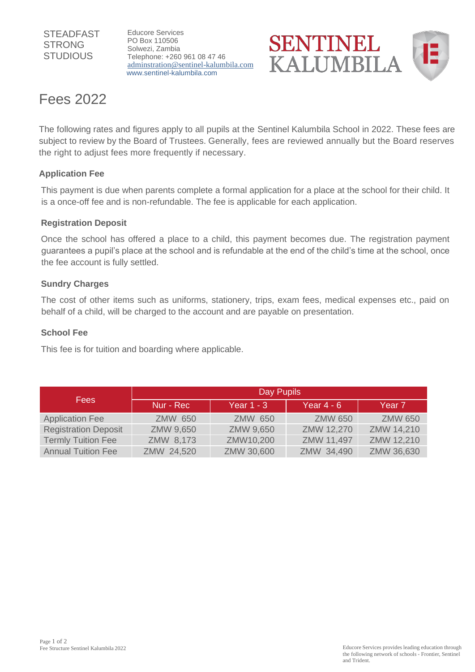#### **STEADFAST** STRONG **STUDIOUS**

Educore Services PO Box 110506 Solwezi, Zambia Telephone: +260 961 08 47 46 [adminstration@sentinel-kalumbila.com](mailto:adminstration@sentinel-kalumbila.com) [www.sentinel-kalumbila.com](http://www.sentinel-kalumbila.co/)



# Fees 2022

The following rates and figures apply to all pupils at the Sentinel Kalumbila School in 2022. These fees are subject to review by the Board of Trustees. Generally, fees are reviewed annually but the Board reserves the right to adjust fees more frequently if necessary.

## **Application Fee**

This payment is due when parents complete a formal application for a place at the school for their child. It is a once-off fee and is non-refundable. The fee is applicable for each application.

#### **Registration Deposit**

Once the school has offered a place to a child, this payment becomes due. The registration payment guarantees a pupil's place at the school and is refundable at the end of the child's time at the school, once the fee account is fully settled.

#### **Sundry Charges**

The cost of other items such as uniforms, stationery, trips, exam fees, medical expenses etc., paid on behalf of a child, will be charged to the account and are payable on presentation.

#### **School Fee**

This fee is for tuition and boarding where applicable.

| <b>Fees</b>                 | Day Pupils     |                |                |                   |
|-----------------------------|----------------|----------------|----------------|-------------------|
|                             | Nur - Rec      | Year $1 - 3$   | Year $4 - 6$   | Year <sub>7</sub> |
| <b>Application Fee</b>      | <b>ZMW 650</b> | <b>ZMW 650</b> | <b>ZMW 650</b> | <b>ZMW 650</b>    |
| <b>Registration Deposit</b> | ZMW 9,650      | ZMW 9,650      | ZMW 12,270     | ZMW 14,210        |
| <b>Termly Tuition Fee</b>   | ZMW 8,173      | ZMW10,200      | ZMW 11,497     | ZMW 12,210        |
| <b>Annual Tuition Fee</b>   | ZMW 24,520     | ZMW 30,600     | ZMW 34,490     | ZMW 36,630        |